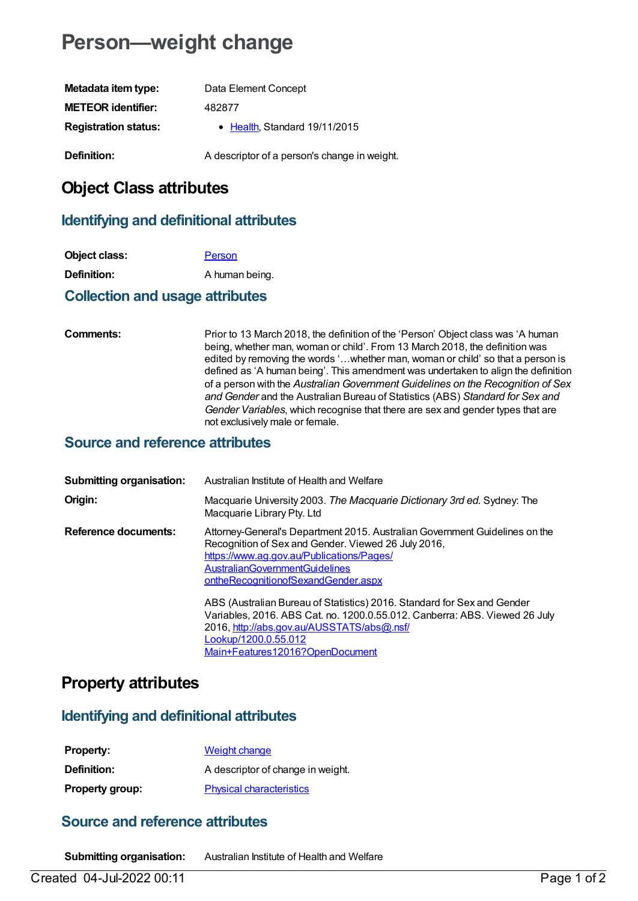# **Person—weight change**

| Metadata item type:         | Data Element Concept                         |
|-----------------------------|----------------------------------------------|
| <b>METEOR identifier:</b>   | 482877                                       |
| <b>Registration status:</b> | • Health, Standard 19/11/2015                |
| Definition:                 | A descriptor of a person's change in weight. |

# **Object Class attributes**

### **Identifying and definitional attributes**

| Object class:      | Person         |
|--------------------|----------------|
| <b>Definition:</b> | A human being. |

#### **Collection and usage attributes**

**Comments:** Prior to 13 March 2018, the definition of the 'Person' Object class was 'A human being, whether man, woman or child'. From 13 March 2018, the definition was edited by removing the words '…whether man, woman or child' so that a person is defined as 'A human being'. This amendment was undertaken to align the definition of a person with the *Australian Government Guidelines on the Recognition of Sex and Gender* and the Australian Bureau of Statistics (ABS) *Standard for Sex and Gender Variables*, which recognise that there are sex and gender types that are not exclusively male or female.

#### **Source and reference attributes**

| <b>Submitting organisation:</b> | Australian Institute of Health and Welfare                                                                                                                                                                                                                      |
|---------------------------------|-----------------------------------------------------------------------------------------------------------------------------------------------------------------------------------------------------------------------------------------------------------------|
| Origin:                         | Macquarie University 2003. The Macquarie Dictionary 3rd ed. Sydney: The<br>Macquarie Library Pty. Ltd                                                                                                                                                           |
| <b>Reference documents:</b>     | Attorney-General's Department 2015. Australian Government Guidelines on the<br>Recognition of Sex and Gender. Viewed 26 July 2016,<br>https://www.ag.gov.au/Publications/Pages/<br><b>AustralianGovernmentGuidelines</b><br>ontheRecognitionofSexandGender.aspx |
|                                 | ABS (Australian Bureau of Statistics) 2016. Standard for Sex and Gender<br>Variables, 2016. ABS Cat. no. 1200.0.55.012. Canberra: ABS. Viewed 26 July<br>2016, http://abs.gov.au/AUSSTATS/abs@.nsf/<br>Lookup/1200.0.55.012<br>Main+Features12016?OpenDocument  |

# **Property attributes**

### **Identifying and definitional attributes**

| <b>Property:</b>       | Weight change                     |
|------------------------|-----------------------------------|
| <b>Definition:</b>     | A descriptor of change in weight. |
| <b>Property group:</b> | <b>Physical characteristics</b>   |

# **Source and reference attributes**

**Submitting organisation:** Australian Institute of Health and Welfare